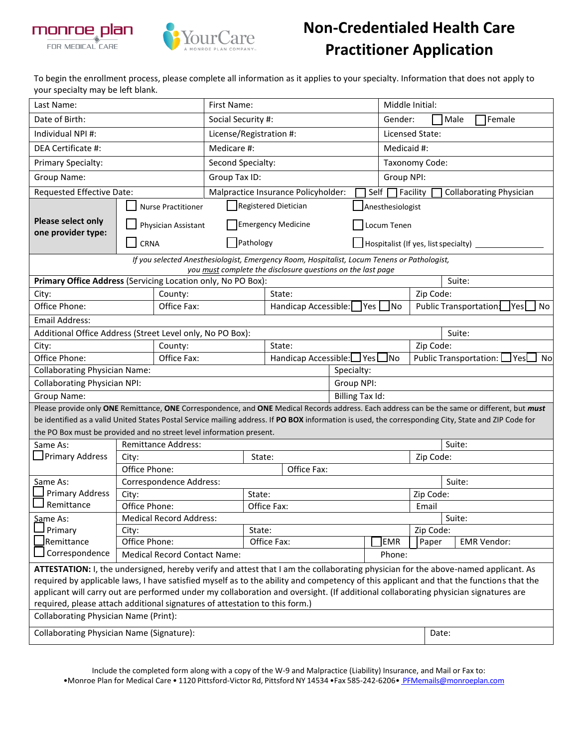

## **Non-Credentialed Health Care Practitioner Application**

To begin the enrollment process, please complete all information as it applies to your specialty. Information that does not apply to your specialty may be left blank.

| Last Name:                                                                                                                                                                                                                                                                   |                                                   | First Name:                |                                                                                             |                                          |        |                           | Middle Initial:        |                                              |                                                            |           |                                                                                                                                              |
|------------------------------------------------------------------------------------------------------------------------------------------------------------------------------------------------------------------------------------------------------------------------------|---------------------------------------------------|----------------------------|---------------------------------------------------------------------------------------------|------------------------------------------|--------|---------------------------|------------------------|----------------------------------------------|------------------------------------------------------------|-----------|----------------------------------------------------------------------------------------------------------------------------------------------|
| Date of Birth:                                                                                                                                                                                                                                                               |                                                   | Social Security #:         |                                                                                             |                                          |        | Gender:<br>Male<br>Female |                        |                                              |                                                            |           |                                                                                                                                              |
| Individual NPI#:                                                                                                                                                                                                                                                             |                                                   | License/Registration #:    |                                                                                             |                                          |        | Licensed State:           |                        |                                              |                                                            |           |                                                                                                                                              |
| DEA Certificate #:                                                                                                                                                                                                                                                           |                                                   |                            | Medicare #:                                                                                 |                                          |        |                           |                        |                                              | Medicaid #:                                                |           |                                                                                                                                              |
| <b>Primary Specialty:</b>                                                                                                                                                                                                                                                    |                                                   |                            | Second Specialty:                                                                           |                                          |        |                           |                        |                                              | Taxonomy Code:                                             |           |                                                                                                                                              |
| Group Name:                                                                                                                                                                                                                                                                  |                                                   |                            | Group Tax ID:                                                                               |                                          |        |                           |                        | Group NPI:                                   |                                                            |           |                                                                                                                                              |
| Requested Effective Date:                                                                                                                                                                                                                                                    |                                                   |                            | Malpractice Insurance Policyholder:                                                         |                                          |        |                           |                        | Self                                         | Facility                                                   |           | <b>Collaborating Physician</b>                                                                                                               |
|                                                                                                                                                                                                                                                                              |                                                   | <b>Nurse Practitioner</b>  | Registered Dietician                                                                        |                                          |        |                           |                        | Anesthesiologist                             |                                                            |           |                                                                                                                                              |
| <b>Please select only</b>                                                                                                                                                                                                                                                    | Physician Assistant                               |                            |                                                                                             | <b>Emergency Medicine</b><br>Locum Tenen |        |                           |                        |                                              |                                                            |           |                                                                                                                                              |
| one provider type:                                                                                                                                                                                                                                                           |                                                   |                            |                                                                                             |                                          |        |                           |                        |                                              |                                                            |           |                                                                                                                                              |
|                                                                                                                                                                                                                                                                              | CRNA                                              |                            | Pathology                                                                                   |                                          |        |                           |                        |                                              | Hospitalist (If yes, list specialty)                       |           |                                                                                                                                              |
|                                                                                                                                                                                                                                                                              |                                                   |                            | If you selected Anesthesiologist, Emergency Room, Hospitalist, Locum Tenens or Pathologist, |                                          |        |                           |                        |                                              |                                                            |           |                                                                                                                                              |
| Primary Office Address (Servicing Location only, No PO Box):                                                                                                                                                                                                                 |                                                   |                            | you must complete the disclosure questions on the last page                                 |                                          |        |                           |                        |                                              |                                                            |           | Suite:                                                                                                                                       |
| City:                                                                                                                                                                                                                                                                        |                                                   | County:                    |                                                                                             |                                          | State: |                           |                        |                                              |                                                            | Zip Code: |                                                                                                                                              |
| Office Phone:                                                                                                                                                                                                                                                                |                                                   | Office Fax:                | Handicap Accessible:   Yes  <br><b>No</b>                                                   |                                          |        |                           |                        | Public Transportation:<br> Yes <br><b>No</b> |                                                            |           |                                                                                                                                              |
| <b>Email Address:</b>                                                                                                                                                                                                                                                        |                                                   |                            |                                                                                             |                                          |        |                           |                        |                                              |                                                            |           |                                                                                                                                              |
| Additional Office Address (Street Level only, No PO Box):                                                                                                                                                                                                                    |                                                   |                            |                                                                                             |                                          |        |                           |                        |                                              |                                                            |           | Suite:                                                                                                                                       |
| City:                                                                                                                                                                                                                                                                        |                                                   | County:                    |                                                                                             |                                          | State: |                           |                        |                                              | Zip Code:                                                  |           |                                                                                                                                              |
| Office Phone:                                                                                                                                                                                                                                                                |                                                   | Office Fax:                | Handicap Accessible: Yes                                                                    |                                          |        | JNo                       |                        |                                              | Public Transportation: L<br>$\sqcup$ Yes $\mathsf L$<br>No |           |                                                                                                                                              |
| <b>Collaborating Physician Name:</b>                                                                                                                                                                                                                                         |                                                   |                            |                                                                                             |                                          |        |                           | Specialty:             |                                              |                                                            |           |                                                                                                                                              |
| <b>Collaborating Physician NPI:</b>                                                                                                                                                                                                                                          |                                                   |                            |                                                                                             |                                          |        |                           | Group NPI:             |                                              |                                                            |           |                                                                                                                                              |
| Group Name:                                                                                                                                                                                                                                                                  |                                                   |                            |                                                                                             |                                          |        |                           | <b>Billing Tax Id:</b> |                                              |                                                            |           |                                                                                                                                              |
|                                                                                                                                                                                                                                                                              |                                                   |                            |                                                                                             |                                          |        |                           |                        |                                              |                                                            |           | Please provide only ONE Remittance, ONE Correspondence, and ONE Medical Records address. Each address can be the same or different, but must |
| be identified as a valid United States Postal Service mailing address. If PO BOX information is used, the corresponding City, State and ZIP Code for                                                                                                                         |                                                   |                            |                                                                                             |                                          |        |                           |                        |                                              |                                                            |           |                                                                                                                                              |
| the PO Box must be provided and no street level information present.                                                                                                                                                                                                         |                                                   |                            |                                                                                             |                                          |        |                           |                        |                                              |                                                            |           |                                                                                                                                              |
| Same As:                                                                                                                                                                                                                                                                     |                                                   | <b>Remittance Address:</b> |                                                                                             |                                          |        |                           |                        |                                              |                                                            |           | Suite:                                                                                                                                       |
| Primary Address                                                                                                                                                                                                                                                              | City:                                             |                            | State:                                                                                      |                                          |        |                           | Zip Code:              |                                              |                                                            |           |                                                                                                                                              |
|                                                                                                                                                                                                                                                                              | Office Phone:<br>Office Fax:                      |                            |                                                                                             |                                          |        |                           |                        |                                              |                                                            |           |                                                                                                                                              |
| Same As:                                                                                                                                                                                                                                                                     | Correspondence Address:                           |                            |                                                                                             |                                          |        |                           | Suite:                 |                                              |                                                            |           |                                                                                                                                              |
| <b>Primary Address</b><br>Remittance                                                                                                                                                                                                                                         | City:                                             |                            |                                                                                             | State:                                   |        |                           |                        | Zip Code:<br>Email                           |                                                            |           |                                                                                                                                              |
|                                                                                                                                                                                                                                                                              | Office Phone:<br>Office Fax:                      |                            |                                                                                             |                                          |        |                           | Suite:                 |                                              |                                                            |           |                                                                                                                                              |
| Same As:<br>Primary                                                                                                                                                                                                                                                          | <b>Medical Record Address:</b><br>City:<br>State: |                            |                                                                                             |                                          |        |                           |                        |                                              | Zip Code:                                                  |           |                                                                                                                                              |
| Remittance                                                                                                                                                                                                                                                                   | Office Phone:                                     |                            |                                                                                             | Office Fax:                              |        | <b>EMR</b>                | Paper                  |                                              | <b>EMR Vendor:</b>                                         |           |                                                                                                                                              |
| Correspondence                                                                                                                                                                                                                                                               | <b>Medical Record Contact Name:</b><br>Phone:     |                            |                                                                                             |                                          |        |                           |                        |                                              |                                                            |           |                                                                                                                                              |
|                                                                                                                                                                                                                                                                              |                                                   |                            |                                                                                             |                                          |        |                           |                        |                                              |                                                            |           |                                                                                                                                              |
| ATTESTATION: I, the undersigned, hereby verify and attest that I am the collaborating physician for the above-named applicant. As<br>required by applicable laws, I have satisfied myself as to the ability and competency of this applicant and that the functions that the |                                                   |                            |                                                                                             |                                          |        |                           |                        |                                              |                                                            |           |                                                                                                                                              |
| applicant will carry out are performed under my collaboration and oversight. (If additional collaborating physician signatures are                                                                                                                                           |                                                   |                            |                                                                                             |                                          |        |                           |                        |                                              |                                                            |           |                                                                                                                                              |
| required, please attach additional signatures of attestation to this form.)                                                                                                                                                                                                  |                                                   |                            |                                                                                             |                                          |        |                           |                        |                                              |                                                            |           |                                                                                                                                              |
| <b>Collaborating Physician Name (Print):</b>                                                                                                                                                                                                                                 |                                                   |                            |                                                                                             |                                          |        |                           |                        |                                              |                                                            |           |                                                                                                                                              |
| Collaborating Physician Name (Signature):                                                                                                                                                                                                                                    |                                                   |                            |                                                                                             |                                          | Date:  |                           |                        |                                              |                                                            |           |                                                                                                                                              |
|                                                                                                                                                                                                                                                                              |                                                   |                            |                                                                                             |                                          |        |                           |                        |                                              |                                                            |           |                                                                                                                                              |

Include the completed form along with a copy of the W-9 and Malpractice (Liability) Insurance, and Mail or Fax to: •Monroe Plan for Medical Care • 1120 Pittsford-Victor Rd, Pittsford NY 14534 •Fax 585-242-6206• [PFMemails@monroeplan.com](mailto:%20PFMemails@monroeplan.com)